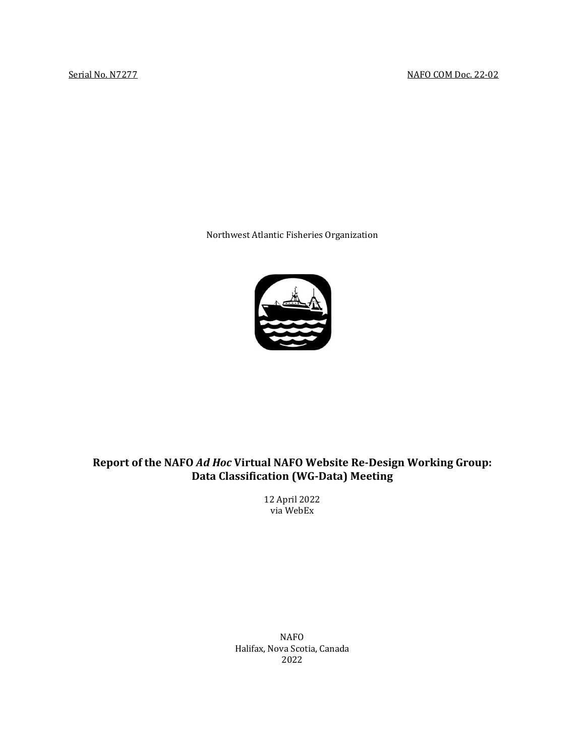Northwest Atlantic Fisheries Organization



# **Report of the NAFO** *Ad Hoc* **Virtual NAFO Website Re-Design Working Group: Data Classification (WG-Data) Meeting**

12 April 2022 via WebEx

NAFO Halifax, Nova Scotia, Canada 2022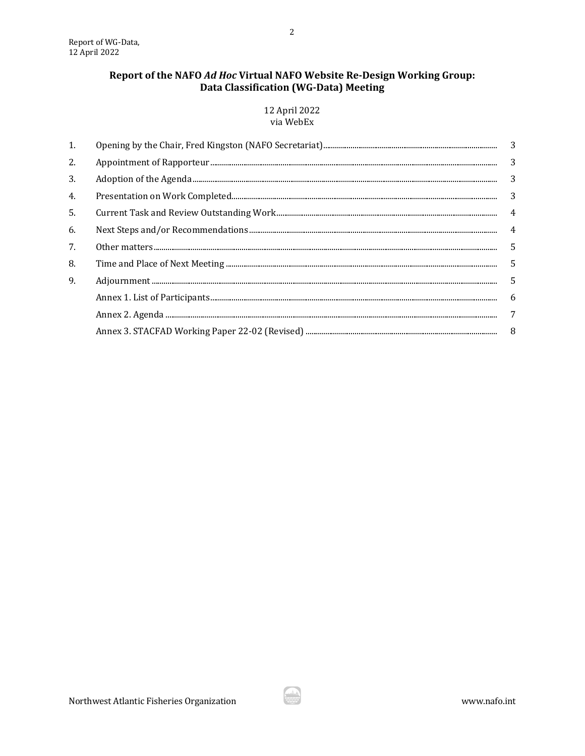## Report of the NAFO Ad Hoc Virtual NAFO Website Re-Design Working Group: Data Classification (WG-Data) Meeting

12 April 2022 via WebEx

| 1.  |  |                |
|-----|--|----------------|
| 2.  |  | 3              |
| 3.  |  | 3              |
| 4.  |  | 3              |
| .5. |  | 4              |
| 6.  |  | $\overline{4}$ |
| 7.  |  | 5              |
| 8.  |  | 5              |
| 9.  |  | .5             |
|     |  | -6             |
|     |  | 7              |
|     |  | - 8            |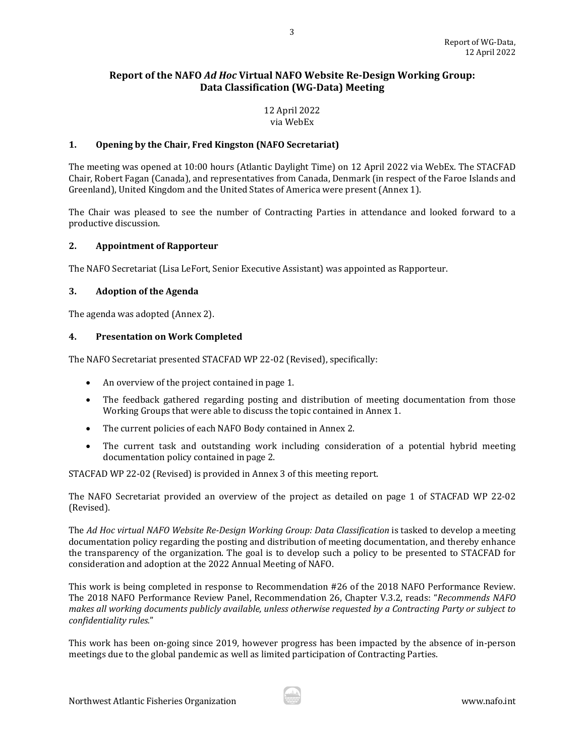## **Report of the NAFO** *Ad Hoc* **Virtual NAFO Website Re-Design Working Group: Data Classification (WG-Data) Meeting**

## 12 April 2022 via WebEx

## <span id="page-2-0"></span>**1. Opening by the Chair, Fred Kingston (NAFO Secretariat)**

The meeting was opened at 10:00 hours (Atlantic Daylight Time) on 12 April 2022 via WebEx. The STACFAD Chair, Robert Fagan (Canada), and representatives from Canada, Denmark (in respect of the Faroe Islands and Greenland), United Kingdom and the United States of America were present (Annex 1).

The Chair was pleased to see the number of Contracting Parties in attendance and looked forward to a productive discussion.

## <span id="page-2-1"></span>**2. Appointment of Rapporteur**

The NAFO Secretariat (Lisa LeFort, Senior Executive Assistant) was appointed as Rapporteur.

## <span id="page-2-2"></span>**3. Adoption of the Agenda**

The agenda was adopted (Annex 2).

#### <span id="page-2-3"></span>**4. Presentation on Work Completed**

The NAFO Secretariat presented STACFAD WP 22-02 (Revised), specifically:

- An overview of the project contained in page 1.
- The feedback gathered regarding posting and distribution of meeting documentation from those Working Groups that were able to discuss the topic contained in Annex 1.
- The current policies of each NAFO Body contained in Annex 2.
- The current task and outstanding work including consideration of a potential hybrid meeting documentation policy contained in page 2.

STACFAD WP 22-02 (Revised) is provided in Annex 3 of this meeting report.

The NAFO Secretariat provided an overview of the project as detailed on page 1 of STACFAD WP 22-02 (Revised).

The Ad Hoc virtual NAFO Website Re-Design Working Group: Data Classification is tasked to develop a meeting documentation policy regarding the posting and distribution of meeting documentation, and thereby enhance the transparency of the organization. The goal is to develop such a policy to be presented to STACFAD for consideration and adoption at the 2022 Annual Meeting of NAFO.

This work is being completed in response to Recommendation #26 of the 2018 NAFO Performance Review. The 2018 NAFO Performance Review Panel, Recommendation 26, Chapter V.3.2, reads: "*Recommends NAFO makes all working documents publicly available, unless otherwise requested by a Contracting Party or subject to confidentiality rules.*"

This work has been on-going since 2019, however progress has been impacted by the absence of in-person meetings due to the global pandemic as well as limited participation of Contracting Parties.

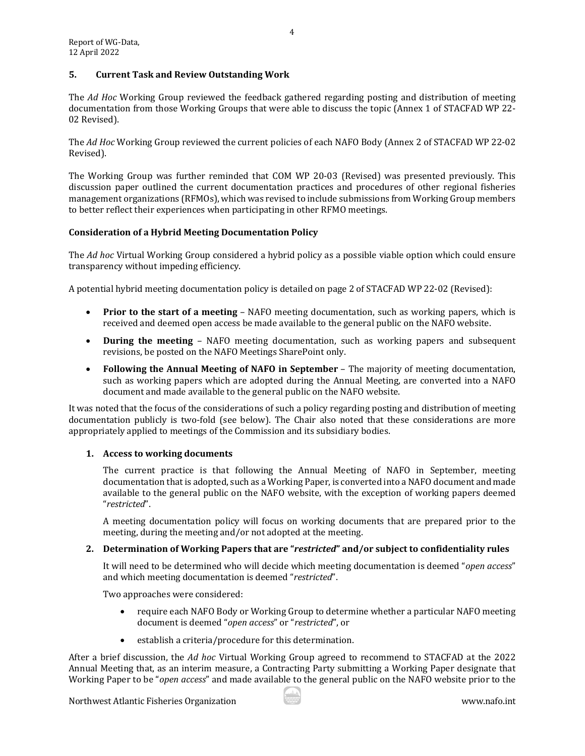## <span id="page-3-0"></span>**5. Current Task and Review Outstanding Work**

The *Ad Hoc* Working Group reviewed the feedback gathered regarding posting and distribution of meeting documentation from those Working Groups that were able to discuss the topic (Annex 1 of STACFAD WP 22- 02 Revised).

4

The *Ad Hoc* Working Group reviewed the current policies of each NAFO Body (Annex 2 of STACFAD WP 22-02 Revised).

The Working Group was further reminded that COM WP 20-03 (Revised) was presented previously. This discussion paper outlined the current documentation practices and procedures of other regional fisheries management organizations (RFMOs), which was revised to include submissions from Working Group members to better reflect their experiences when participating in other RFMO meetings.

## **Consideration of a Hybrid Meeting Documentation Policy**

The *Ad hoc* Virtual Working Group considered a hybrid policy as a possible viable option which could ensure transparency without impeding efficiency.

A potential hybrid meeting documentation policy is detailed on page 2 of STACFAD WP 22-02 (Revised):

- **Prior to the start of a meeting** NAFO meeting documentation, such as working papers, which is received and deemed open access be made available to the general public on the NAFO website.
- **During the meeting** NAFO meeting documentation, such as working papers and subsequent revisions, be posted on the NAFO Meetings SharePoint only.
- **Following the Annual Meeting of NAFO in September** The majority of meeting documentation, such as working papers which are adopted during the Annual Meeting, are converted into a NAFO document and made available to the general public on the NAFO website.

<span id="page-3-1"></span>It was noted that the focus of the considerations of such a policy regarding posting and distribution of meeting documentation publicly is two-fold (see below). The Chair also noted that these considerations are more appropriately applied to meetings of the Commission and its subsidiary bodies.

## **1. Access to working documents**

The current practice is that following the Annual Meeting of NAFO in September, meeting documentation that is adopted, such as a Working Paper, is converted into a NAFO document and made available to the general public on the NAFO website, with the exception of working papers deemed "*restricted*".

A meeting documentation policy will focus on working documents that are prepared prior to the meeting, during the meeting and/or not adopted at the meeting.

## **2. Determination of Working Papers that are "***restricted***" and/or subject to confidentiality rules**

It will need to be determined who will decide which meeting documentation is deemed "*open access*" and which meeting documentation is deemed "*restricted*".

Two approaches were considered:

- require each NAFO Body or Working Group to determine whether a particular NAFO meeting document is deemed "*open access*" or "*restricted*", or
- establish a criteria/procedure for this determination.

After a brief discussion, the *Ad hoc* Virtual Working Group agreed to recommend to STACFAD at the 2022 Annual Meeting that, as an interim measure, a Contracting Party submitting a Working Paper designate that Working Paper to be "*open access*" and made available to the general public on the NAFO website prior to the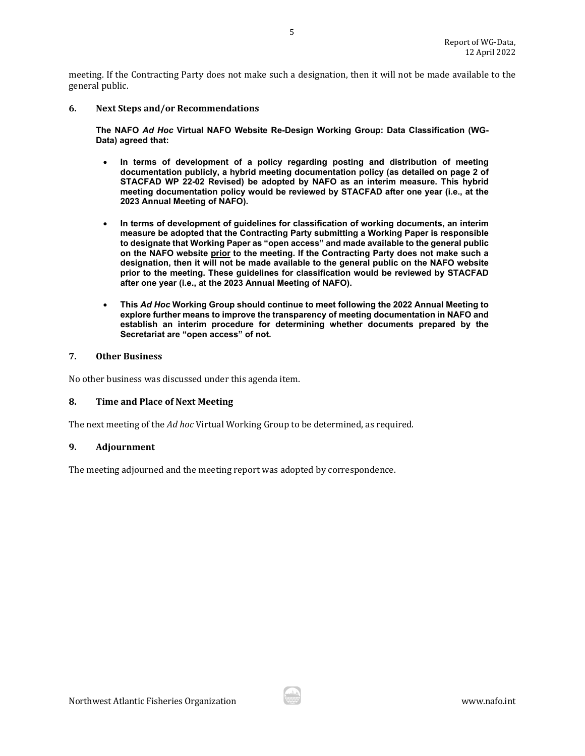meeting. If the Contracting Party does not make such a designation, then it will not be made available to the general public.

#### **6. Next Steps and/or Recommendations**

**The NAFO** *Ad Hoc* **Virtual NAFO Website Re-Design Working Group: Data Classification (WG-Data) agreed that:**

- **In terms of development of a policy regarding posting and distribution of meeting documentation publicly, a hybrid meeting documentation policy (as detailed on page 2 of STACFAD WP 22-02 Revised) be adopted by NAFO as an interim measure. This hybrid meeting documentation policy would be reviewed by STACFAD after one year (i.e., at the 2023 Annual Meeting of NAFO).**
- **In terms of development of guidelines for classification of working documents, an interim measure be adopted that the Contracting Party submitting a Working Paper is responsible to designate that Working Paper as "open access" and made available to the general public on the NAFO website prior to the meeting. If the Contracting Party does not make such a designation, then it will not be made available to the general public on the NAFO website prior to the meeting. These guidelines for classification would be reviewed by STACFAD after one year (i.e., at the 2023 Annual Meeting of NAFO).**
- **This** *Ad Hoc* **Working Group should continue to meet following the 2022 Annual Meeting to explore further means to improve the transparency of meeting documentation in NAFO and establish an interim procedure for determining whether documents prepared by the Secretariat are "open access" of not.**

#### <span id="page-4-0"></span>**7. Other Business**

No other business was discussed under this agenda item.

#### <span id="page-4-1"></span>**8. Time and Place of Next Meeting**

The next meeting of the *Ad hoc* Virtual Working Group to be determined, as required.

## <span id="page-4-2"></span>**9. Adjournment**

The meeting adjourned and the meeting report was adopted by correspondence.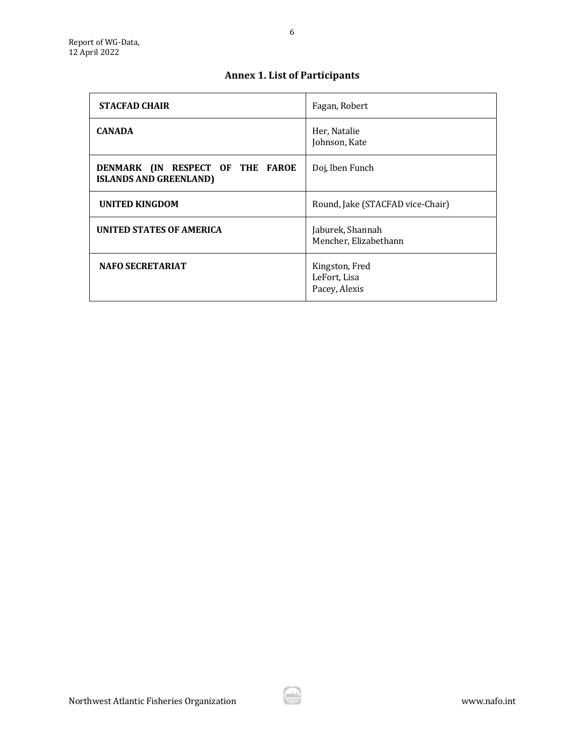# **Annex 1. List of Participants**

<span id="page-5-0"></span>

| <b>STACFAD CHAIR</b>                                              | Fagan, Robert                                   |
|-------------------------------------------------------------------|-------------------------------------------------|
| <b>CANADA</b>                                                     | Her, Natalie<br>Johnson, Kate                   |
| DENMARK (IN RESPECT OF THE FAROE<br><b>ISLANDS AND GREENLAND)</b> | Doj, lben Funch                                 |
| <b>UNITED KINGDOM</b>                                             | Round, Jake (STACFAD vice-Chair)                |
| <b>UNITED STATES OF AMERICA</b>                                   | Jaburek, Shannah<br>Mencher, Elizabethann       |
| <b>NAFO SECRETARIAT</b>                                           | Kingston, Fred<br>LeFort, Lisa<br>Pacey, Alexis |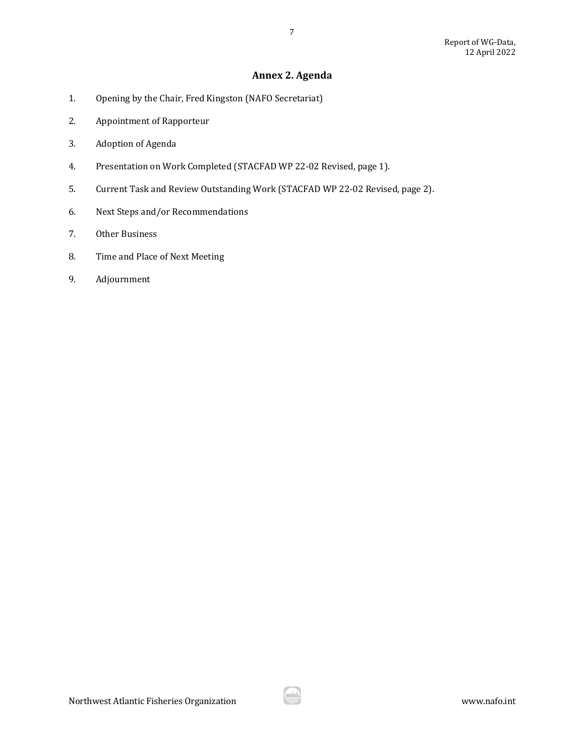## **Annex 2. Agenda**

7

- <span id="page-6-0"></span>1. Opening by the Chair, Fred Kingston (NAFO Secretariat)
- 2. Appointment of Rapporteur
- 3. Adoption of Agenda
- 4. Presentation on Work Completed (STACFAD WP 22-02 Revised, page 1).
- 5. Current Task and Review Outstanding Work (STACFAD WP 22-02 Revised, page 2).
- 6. Next Steps and/or Recommendations
- 7. Other Business
- 8. Time and Place of Next Meeting
- 9. Adjournment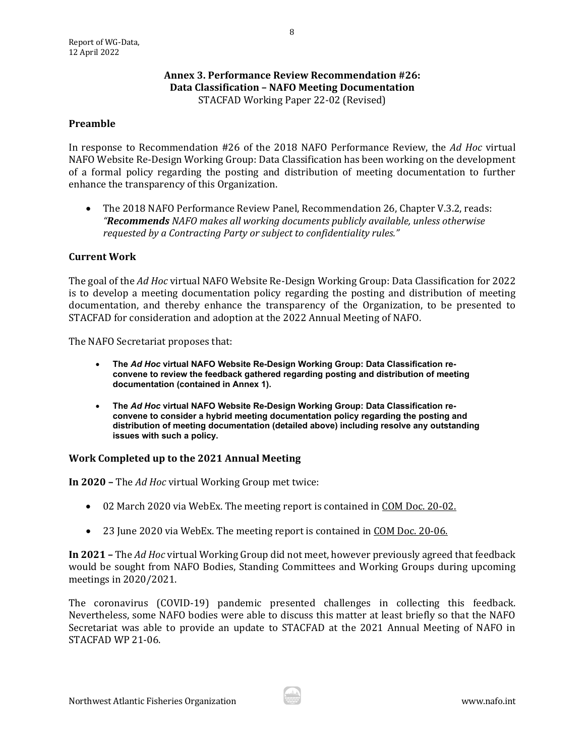## **Annex 3. Performance Review Recommendation #26: Data Classification – NAFO Meeting Documentation**  STACFAD Working Paper 22-02 (Revised)

## <span id="page-7-0"></span>**Preamble**

In response to Recommendation #26 of the 2018 NAFO Performance Review, the *Ad Hoc* virtual NAFO Website Re-Design Working Group: Data Classification has been working on the development of a formal policy regarding the posting and distribution of meeting documentation to further enhance the transparency of this Organization.

• The 2018 NAFO Performance Review Panel, Recommendation 26, Chapter V.3.2, reads: *"Recommends NAFO makes all working documents publicly available, unless otherwise requested by a Contracting Party or subject to confidentiality rules."* 

## **Current Work**

The goal of the *Ad Hoc* virtual NAFO Website Re-Design Working Group: Data Classification for 2022 is to develop a meeting documentation policy regarding the posting and distribution of meeting documentation, and thereby enhance the transparency of the Organization, to be presented to STACFAD for consideration and adoption at the 2022 Annual Meeting of NAFO.

The NAFO Secretariat proposes that:

- **The** *Ad Hoc* **virtual NAFO Website Re-Design Working Group: Data Classification reconvene to review the feedback gathered regarding posting and distribution of meeting documentation (contained in Annex 1).**
- **The** *Ad Hoc* **virtual NAFO Website Re-Design Working Group: Data Classification reconvene to consider a hybrid meeting documentation policy regarding the posting and distribution of meeting documentation (detailed above) including resolve any outstanding issues with such a policy.**

## **Work Completed up to the 2021 Annual Meeting**

**In 2020 –** The *Ad Hoc* virtual Working Group met twice:

- 02 March 2020 via WebEx. The meeting report is contained in COM Doc. 20-02.
- 23 June 2020 via WebEx. The meeting report is contained in COM Doc. 20-06.

**In 2021 –** The *Ad Hoc* virtual Working Group did not meet, however previously agreed that feedback would be sought from NAFO Bodies, Standing Committees and Working Groups during upcoming meetings in 2020/2021.

The coronavirus (COVID-19) pandemic presented challenges in collecting this feedback. Nevertheless, some NAFO bodies were able to discuss this matter at least briefly so that the NAFO Secretariat was able to provide an update to STACFAD at the 2021 Annual Meeting of NAFO in STACFAD WP 21-06.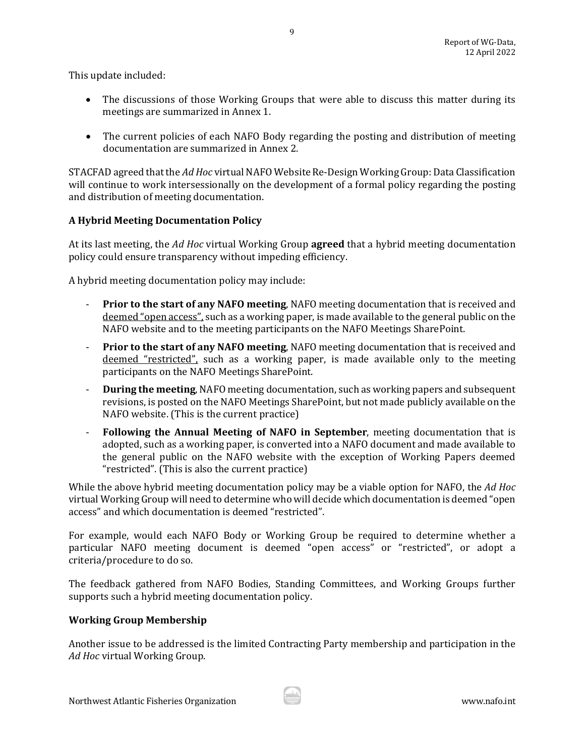This update included:

- The discussions of those Working Groups that were able to discuss this matter during its meetings are summarized in Annex 1.
- The current policies of each NAFO Body regarding the posting and distribution of meeting documentation are summarized in Annex 2.

STACFAD agreed that the *Ad Hoc* virtual NAFO Website Re-Design Working Group: Data Classification will continue to work intersessionally on the development of a formal policy regarding the posting and distribution of meeting documentation.

## **A Hybrid Meeting Documentation Policy**

At its last meeting, the *Ad Hoc* virtual Working Group **agreed** that a hybrid meeting documentation policy could ensure transparency without impeding efficiency.

A hybrid meeting documentation policy may include:

- **Prior to the start of any NAFO meeting**, NAFO meeting documentation that is received and deemed "open access", such as a working paper, is made available to the general public on the NAFO website and to the meeting participants on the NAFO Meetings SharePoint.
- **Prior to the start of any NAFO meeting**, NAFO meeting documentation that is received and deemed "restricted", such as a working paper, is made available only to the meeting participants on the NAFO Meetings SharePoint.
- **During the meeting**, NAFO meeting documentation, such as working papers and subsequent revisions, is posted on the NAFO Meetings SharePoint, but not made publicly available on the NAFO website. (This is the current practice)
- **Following the Annual Meeting of NAFO in September**, meeting documentation that is adopted, such as a working paper, is converted into a NAFO document and made available to the general public on the NAFO website with the exception of Working Papers deemed "restricted". (This is also the current practice)

While the above hybrid meeting documentation policy may be a viable option for NAFO, the *Ad Hoc* virtual Working Group will need to determine who will decide which documentation is deemed "open access" and which documentation is deemed "restricted".

For example, would each NAFO Body or Working Group be required to determine whether a particular NAFO meeting document is deemed "open access" or "restricted", or adopt a criteria/procedure to do so.

The feedback gathered from NAFO Bodies, Standing Committees, and Working Groups further supports such a hybrid meeting documentation policy.

## **Working Group Membership**

Another issue to be addressed is the limited Contracting Party membership and participation in the *Ad Hoc* virtual Working Group.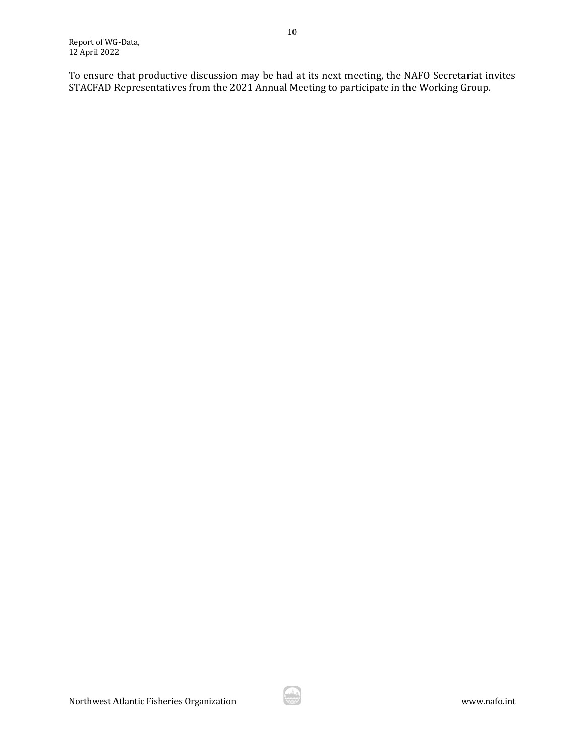To ensure that productive discussion may be had at its next meeting, the NAFO Secretariat invites STACFAD Representatives from the 2021 Annual Meeting to participate in the Working Group.

10

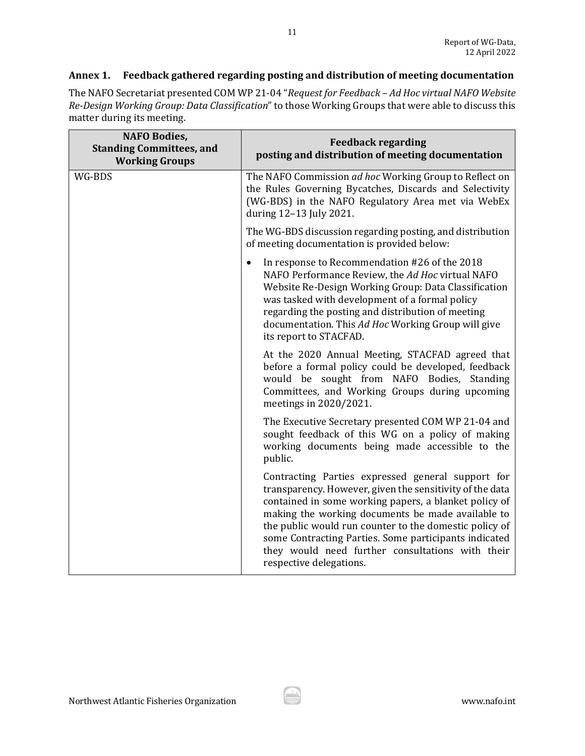## **Annex 1. Feedback gathered regarding posting and distribution of meeting documentation**

The NAFO Secretariat presented COM WP 21-04 "*Request for Feedback – Ad Hoc virtual NAFO Website Re-Design Working Group: Data Classification*" to those Working Groups that were able to discuss this matter during its meeting.

| <b>NAFO Bodies,</b><br><b>Standing Committees, and</b><br><b>Working Groups</b> | <b>Feedback regarding</b><br>posting and distribution of meeting documentation                                                                                                                                                                                                                                                                                                                                                |
|---------------------------------------------------------------------------------|-------------------------------------------------------------------------------------------------------------------------------------------------------------------------------------------------------------------------------------------------------------------------------------------------------------------------------------------------------------------------------------------------------------------------------|
| WG-BDS                                                                          | The NAFO Commission ad hoc Working Group to Reflect on<br>the Rules Governing Bycatches, Discards and Selectivity<br>(WG-BDS) in the NAFO Regulatory Area met via WebEx<br>during 12-13 July 2021.                                                                                                                                                                                                                            |
|                                                                                 | The WG-BDS discussion regarding posting, and distribution<br>of meeting documentation is provided below:                                                                                                                                                                                                                                                                                                                      |
|                                                                                 | In response to Recommendation #26 of the 2018<br>$\bullet$<br>NAFO Performance Review, the Ad Hoc virtual NAFO<br>Website Re-Design Working Group: Data Classification<br>was tasked with development of a formal policy<br>regarding the posting and distribution of meeting<br>documentation. This Ad Hoc Working Group will give<br>its report to STACFAD.                                                                 |
|                                                                                 | At the 2020 Annual Meeting, STACFAD agreed that<br>before a formal policy could be developed, feedback<br>would be sought from NAFO Bodies, Standing<br>Committees, and Working Groups during upcoming<br>meetings in 2020/2021.                                                                                                                                                                                              |
|                                                                                 | The Executive Secretary presented COM WP 21-04 and<br>sought feedback of this WG on a policy of making<br>working documents being made accessible to the<br>public.                                                                                                                                                                                                                                                           |
|                                                                                 | Contracting Parties expressed general support for<br>transparency. However, given the sensitivity of the data<br>contained in some working papers, a blanket policy of<br>making the working documents be made available to<br>the public would run counter to the domestic policy of<br>some Contracting Parties. Some participants indicated<br>they would need further consultations with their<br>respective delegations. |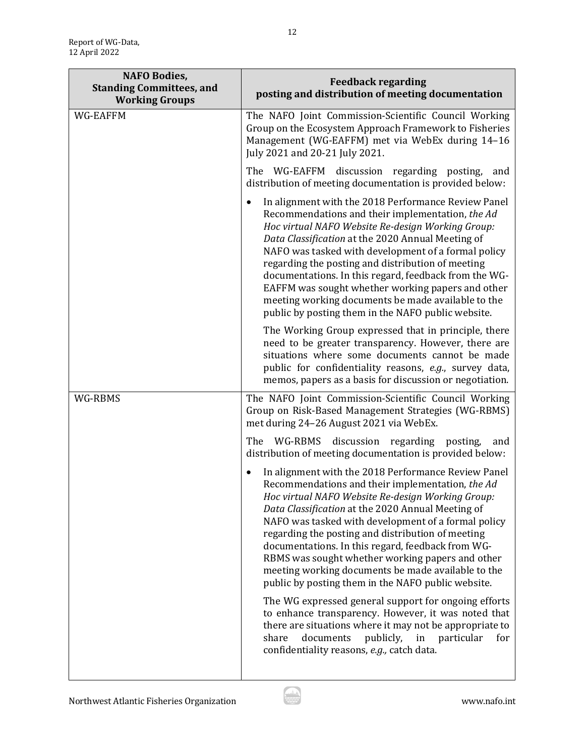| <b>NAFO Bodies,</b><br><b>Standing Committees, and</b><br><b>Working Groups</b> | <b>Feedback regarding</b><br>posting and distribution of meeting documentation                                                                                                                                                                                                                                                                                                                                                                                                                                                                                                                                                                                                                                                                                                                                                                        |
|---------------------------------------------------------------------------------|-------------------------------------------------------------------------------------------------------------------------------------------------------------------------------------------------------------------------------------------------------------------------------------------------------------------------------------------------------------------------------------------------------------------------------------------------------------------------------------------------------------------------------------------------------------------------------------------------------------------------------------------------------------------------------------------------------------------------------------------------------------------------------------------------------------------------------------------------------|
| WG-EAFFM                                                                        | The NAFO Joint Commission-Scientific Council Working<br>Group on the Ecosystem Approach Framework to Fisheries<br>Management (WG-EAFFM) met via WebEx during 14-16<br>July 2021 and 20-21 July 2021.                                                                                                                                                                                                                                                                                                                                                                                                                                                                                                                                                                                                                                                  |
|                                                                                 | The WG-EAFFM discussion regarding posting,<br>and<br>distribution of meeting documentation is provided below:                                                                                                                                                                                                                                                                                                                                                                                                                                                                                                                                                                                                                                                                                                                                         |
|                                                                                 | In alignment with the 2018 Performance Review Panel<br>Recommendations and their implementation, the Ad<br>Hoc virtual NAFO Website Re-design Working Group:<br>Data Classification at the 2020 Annual Meeting of<br>NAFO was tasked with development of a formal policy<br>regarding the posting and distribution of meeting<br>documentations. In this regard, feedback from the WG-<br>EAFFM was sought whether working papers and other<br>meeting working documents be made available to the<br>public by posting them in the NAFO public website.                                                                                                                                                                                                                                                                                               |
|                                                                                 | The Working Group expressed that in principle, there<br>need to be greater transparency. However, there are<br>situations where some documents cannot be made<br>public for confidentiality reasons, e.g., survey data,<br>memos, papers as a basis for discussion or negotiation.                                                                                                                                                                                                                                                                                                                                                                                                                                                                                                                                                                    |
| WG-RBMS                                                                         | The NAFO Joint Commission-Scientific Council Working<br>Group on Risk-Based Management Strategies (WG-RBMS)<br>met during 24-26 August 2021 via WebEx.                                                                                                                                                                                                                                                                                                                                                                                                                                                                                                                                                                                                                                                                                                |
|                                                                                 | The<br>WG-RBMS discussion regarding posting,<br>and<br>distribution of meeting documentation is provided below:                                                                                                                                                                                                                                                                                                                                                                                                                                                                                                                                                                                                                                                                                                                                       |
|                                                                                 | In alignment with the 2018 Performance Review Panel<br>$\bullet$<br>Recommendations and their implementation, the Ad<br>Hoc virtual NAFO Website Re-design Working Group:<br>Data Classification at the 2020 Annual Meeting of<br>NAFO was tasked with development of a formal policy<br>regarding the posting and distribution of meeting<br>documentations. In this regard, feedback from WG-<br>RBMS was sought whether working papers and other<br>meeting working documents be made available to the<br>public by posting them in the NAFO public website.<br>The WG expressed general support for ongoing efforts<br>to enhance transparency. However, it was noted that<br>there are situations where it may not be appropriate to<br>share<br>documents<br>publicly,<br>in<br>particular<br>for<br>confidentiality reasons, e.g., catch data. |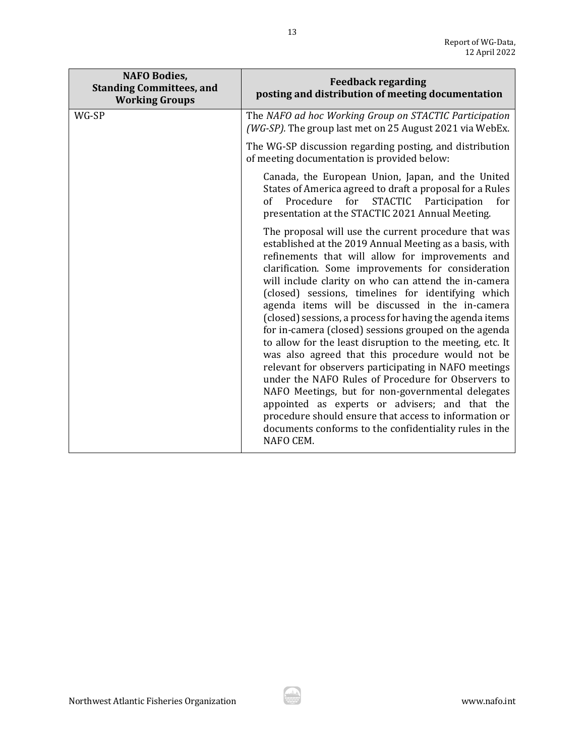| <b>NAFO Bodies,</b><br><b>Standing Committees, and</b><br><b>Working Groups</b> | <b>Feedback regarding</b><br>posting and distribution of meeting documentation                                                                                                                                                                                                                                                                                                                                                                                                                                                                                                                                                                                                                                                                                                                                                                                                                                                                                                         |
|---------------------------------------------------------------------------------|----------------------------------------------------------------------------------------------------------------------------------------------------------------------------------------------------------------------------------------------------------------------------------------------------------------------------------------------------------------------------------------------------------------------------------------------------------------------------------------------------------------------------------------------------------------------------------------------------------------------------------------------------------------------------------------------------------------------------------------------------------------------------------------------------------------------------------------------------------------------------------------------------------------------------------------------------------------------------------------|
| WG-SP                                                                           | The NAFO ad hoc Working Group on STACTIC Participation<br>(WG-SP). The group last met on 25 August 2021 via WebEx.                                                                                                                                                                                                                                                                                                                                                                                                                                                                                                                                                                                                                                                                                                                                                                                                                                                                     |
|                                                                                 | The WG-SP discussion regarding posting, and distribution<br>of meeting documentation is provided below:                                                                                                                                                                                                                                                                                                                                                                                                                                                                                                                                                                                                                                                                                                                                                                                                                                                                                |
|                                                                                 | Canada, the European Union, Japan, and the United<br>States of America agreed to draft a proposal for a Rules<br>of Procedure<br>STACTIC Participation<br>for<br>for<br>presentation at the STACTIC 2021 Annual Meeting.                                                                                                                                                                                                                                                                                                                                                                                                                                                                                                                                                                                                                                                                                                                                                               |
|                                                                                 | The proposal will use the current procedure that was<br>established at the 2019 Annual Meeting as a basis, with<br>refinements that will allow for improvements and<br>clarification. Some improvements for consideration<br>will include clarity on who can attend the in-camera<br>(closed) sessions, timelines for identifying which<br>agenda items will be discussed in the in-camera<br>(closed) sessions, a process for having the agenda items<br>for in-camera (closed) sessions grouped on the agenda<br>to allow for the least disruption to the meeting, etc. It<br>was also agreed that this procedure would not be<br>relevant for observers participating in NAFO meetings<br>under the NAFO Rules of Procedure for Observers to<br>NAFO Meetings, but for non-governmental delegates<br>appointed as experts or advisers; and that the<br>procedure should ensure that access to information or<br>documents conforms to the confidentiality rules in the<br>NAFO CEM. |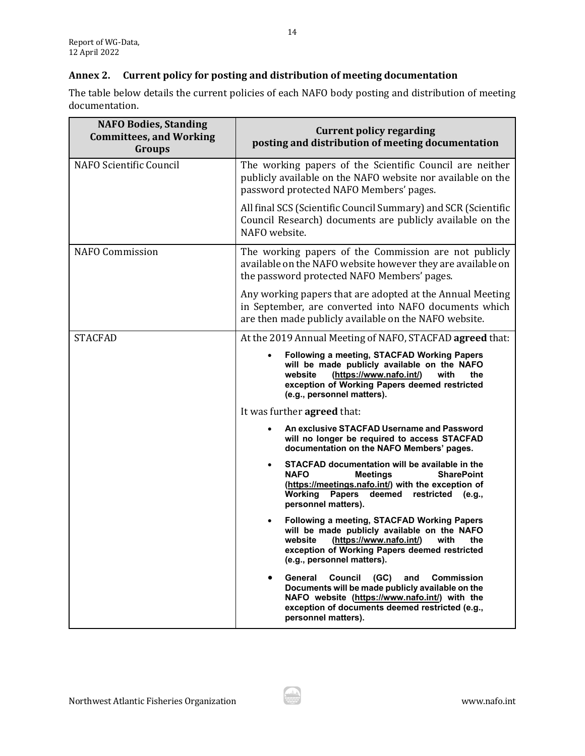## **Annex 2. Current policy for posting and distribution of meeting documentation**

The table below details the current policies of each NAFO body posting and distribution of meeting documentation.

| <b>NAFO Bodies, Standing</b><br><b>Committees, and Working</b><br>Groups | <b>Current policy regarding</b><br>posting and distribution of meeting documentation                                                                                                                                                             |
|--------------------------------------------------------------------------|--------------------------------------------------------------------------------------------------------------------------------------------------------------------------------------------------------------------------------------------------|
| NAFO Scientific Council                                                  | The working papers of the Scientific Council are neither<br>publicly available on the NAFO website nor available on the<br>password protected NAFO Members' pages.                                                                               |
|                                                                          | All final SCS (Scientific Council Summary) and SCR (Scientific<br>Council Research) documents are publicly available on the<br>NAFO website.                                                                                                     |
| <b>NAFO Commission</b>                                                   | The working papers of the Commission are not publicly<br>available on the NAFO website however they are available on<br>the password protected NAFO Members' pages.                                                                              |
|                                                                          | Any working papers that are adopted at the Annual Meeting<br>in September, are converted into NAFO documents which<br>are then made publicly available on the NAFO website.                                                                      |
| <b>STACFAD</b>                                                           | At the 2019 Annual Meeting of NAFO, STACFAD agreed that:                                                                                                                                                                                         |
|                                                                          | Following a meeting, STACFAD Working Papers<br>will be made publicly available on the NAFO<br>website<br>(https://www.nafo.int/)<br>with<br>the<br>exception of Working Papers deemed restricted<br>(e.g., personnel matters).                   |
|                                                                          | It was further <b>agreed</b> that:                                                                                                                                                                                                               |
|                                                                          | An exclusive STACFAD Username and Password<br>will no longer be required to access STACFAD<br>documentation on the NAFO Members' pages.                                                                                                          |
|                                                                          | STACFAD documentation will be available in the<br><b>NAFO</b><br><b>SharePoint</b><br><b>Meetings</b><br>(https://meetings.nafo.int/) with the exception of<br>Working<br><b>Papers</b><br>deemed<br>restricted<br>(e.g.,<br>personnel matters). |
|                                                                          | Following a meeting, STACFAD Working Papers<br>will be made publicly available on the NAFO<br>(https://www.nafo.int/)<br>website<br>with<br>the<br>exception of Working Papers deemed restricted<br>(e.g., personnel matters).                   |
|                                                                          | Council<br>General<br>(GC)<br>and<br><b>Commission</b><br>Documents will be made publicly available on the<br>NAFO website (https://www.nafo.int/) with the<br>exception of documents deemed restricted (e.g.,<br>personnel matters).            |